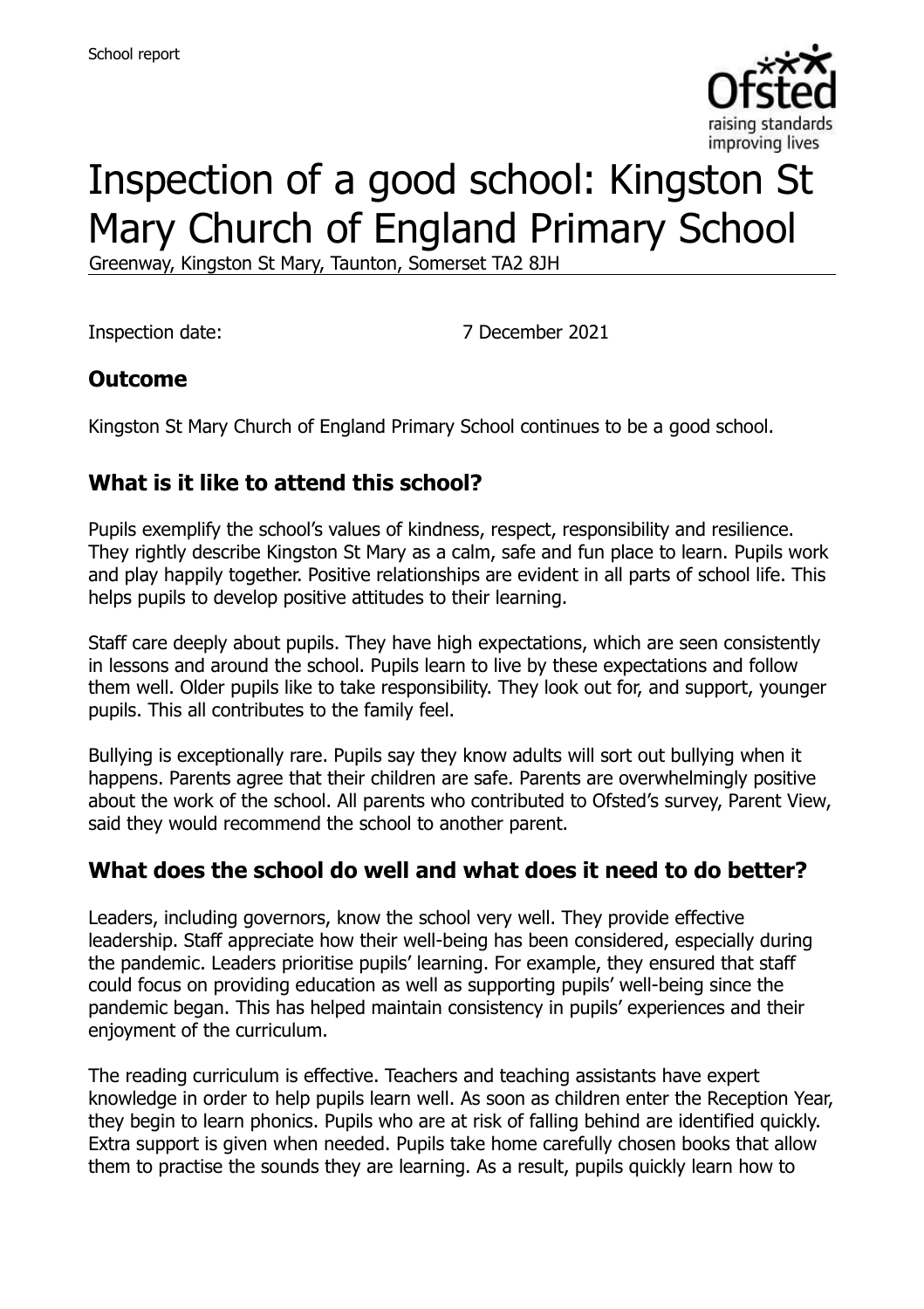

# Inspection of a good school: Kingston St Mary Church of England Primary School

Greenway, Kingston St Mary, Taunton, Somerset TA2 8JH

Inspection date: 7 December 2021

### **Outcome**

Kingston St Mary Church of England Primary School continues to be a good school.

# **What is it like to attend this school?**

Pupils exemplify the school's values of kindness, respect, responsibility and resilience. They rightly describe Kingston St Mary as a calm, safe and fun place to learn. Pupils work and play happily together. Positive relationships are evident in all parts of school life. This helps pupils to develop positive attitudes to their learning.

Staff care deeply about pupils. They have high expectations, which are seen consistently in lessons and around the school. Pupils learn to live by these expectations and follow them well. Older pupils like to take responsibility. They look out for, and support, younger pupils. This all contributes to the family feel.

Bullying is exceptionally rare. Pupils say they know adults will sort out bullying when it happens. Parents agree that their children are safe. Parents are overwhelmingly positive about the work of the school. All parents who contributed to Ofsted's survey, Parent View, said they would recommend the school to another parent.

### **What does the school do well and what does it need to do better?**

Leaders, including governors, know the school very well. They provide effective leadership. Staff appreciate how their well-being has been considered, especially during the pandemic. Leaders prioritise pupils' learning. For example, they ensured that staff could focus on providing education as well as supporting pupils' well-being since the pandemic began. This has helped maintain consistency in pupils' experiences and their enjoyment of the curriculum.

The reading curriculum is effective. Teachers and teaching assistants have expert knowledge in order to help pupils learn well. As soon as children enter the Reception Year, they begin to learn phonics. Pupils who are at risk of falling behind are identified quickly. Extra support is given when needed. Pupils take home carefully chosen books that allow them to practise the sounds they are learning. As a result, pupils quickly learn how to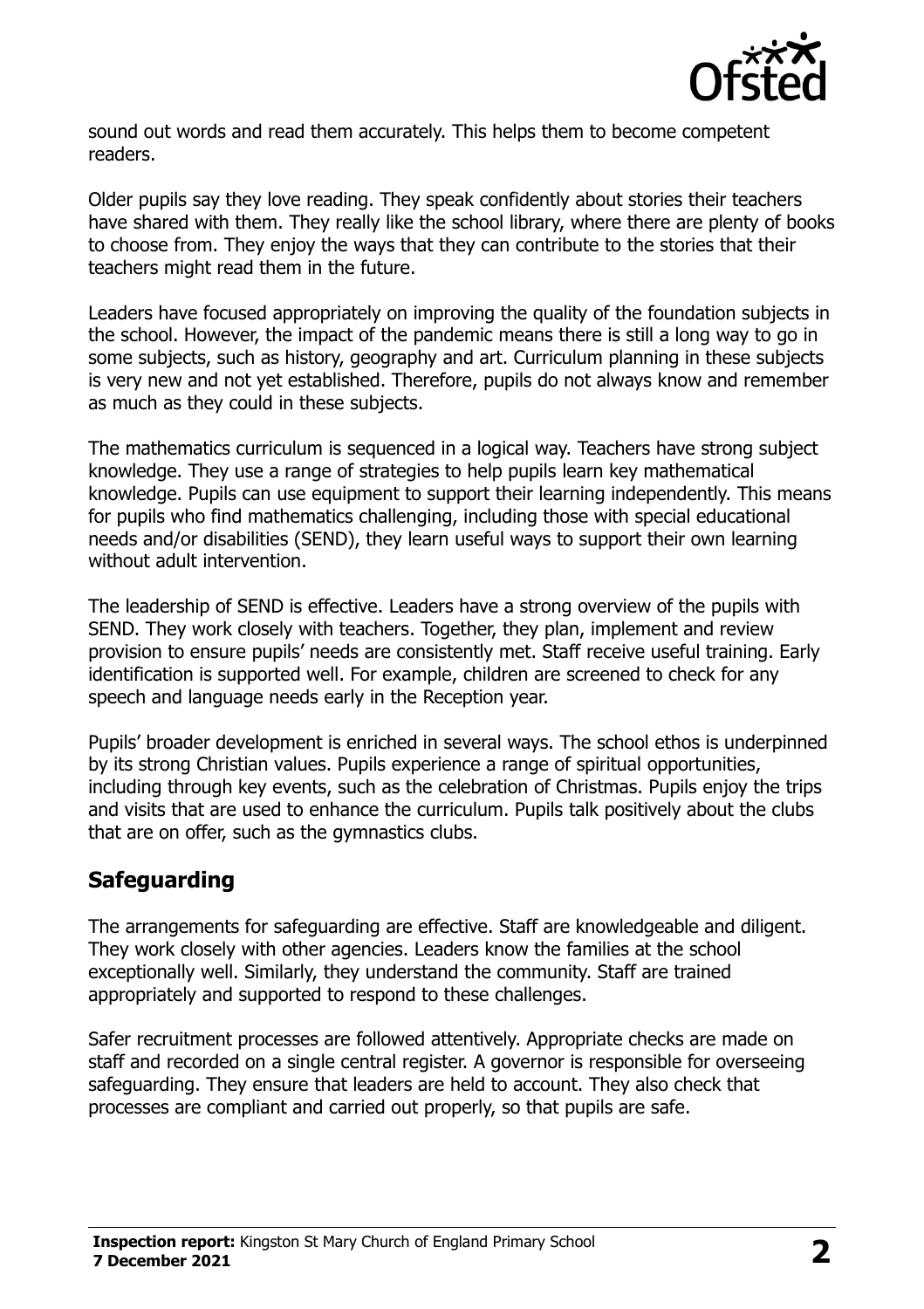

sound out words and read them accurately. This helps them to become competent readers.

Older pupils say they love reading. They speak confidently about stories their teachers have shared with them. They really like the school library, where there are plenty of books to choose from. They enjoy the ways that they can contribute to the stories that their teachers might read them in the future.

Leaders have focused appropriately on improving the quality of the foundation subjects in the school. However, the impact of the pandemic means there is still a long way to go in some subjects, such as history, geography and art. Curriculum planning in these subjects is very new and not yet established. Therefore, pupils do not always know and remember as much as they could in these subjects.

The mathematics curriculum is sequenced in a logical way. Teachers have strong subject knowledge. They use a range of strategies to help pupils learn key mathematical knowledge. Pupils can use equipment to support their learning independently. This means for pupils who find mathematics challenging, including those with special educational needs and/or disabilities (SEND), they learn useful ways to support their own learning without adult intervention.

The leadership of SEND is effective. Leaders have a strong overview of the pupils with SEND. They work closely with teachers. Together, they plan, implement and review provision to ensure pupils' needs are consistently met. Staff receive useful training. Early identification is supported well. For example, children are screened to check for any speech and language needs early in the Reception year.

Pupils' broader development is enriched in several ways. The school ethos is underpinned by its strong Christian values. Pupils experience a range of spiritual opportunities, including through key events, such as the celebration of Christmas. Pupils enjoy the trips and visits that are used to enhance the curriculum. Pupils talk positively about the clubs that are on offer, such as the gymnastics clubs.

### **Safeguarding**

The arrangements for safeguarding are effective. Staff are knowledgeable and diligent. They work closely with other agencies. Leaders know the families at the school exceptionally well. Similarly, they understand the community. Staff are trained appropriately and supported to respond to these challenges.

Safer recruitment processes are followed attentively. Appropriate checks are made on staff and recorded on a single central register. A governor is responsible for overseeing safeguarding. They ensure that leaders are held to account. They also check that processes are compliant and carried out properly, so that pupils are safe.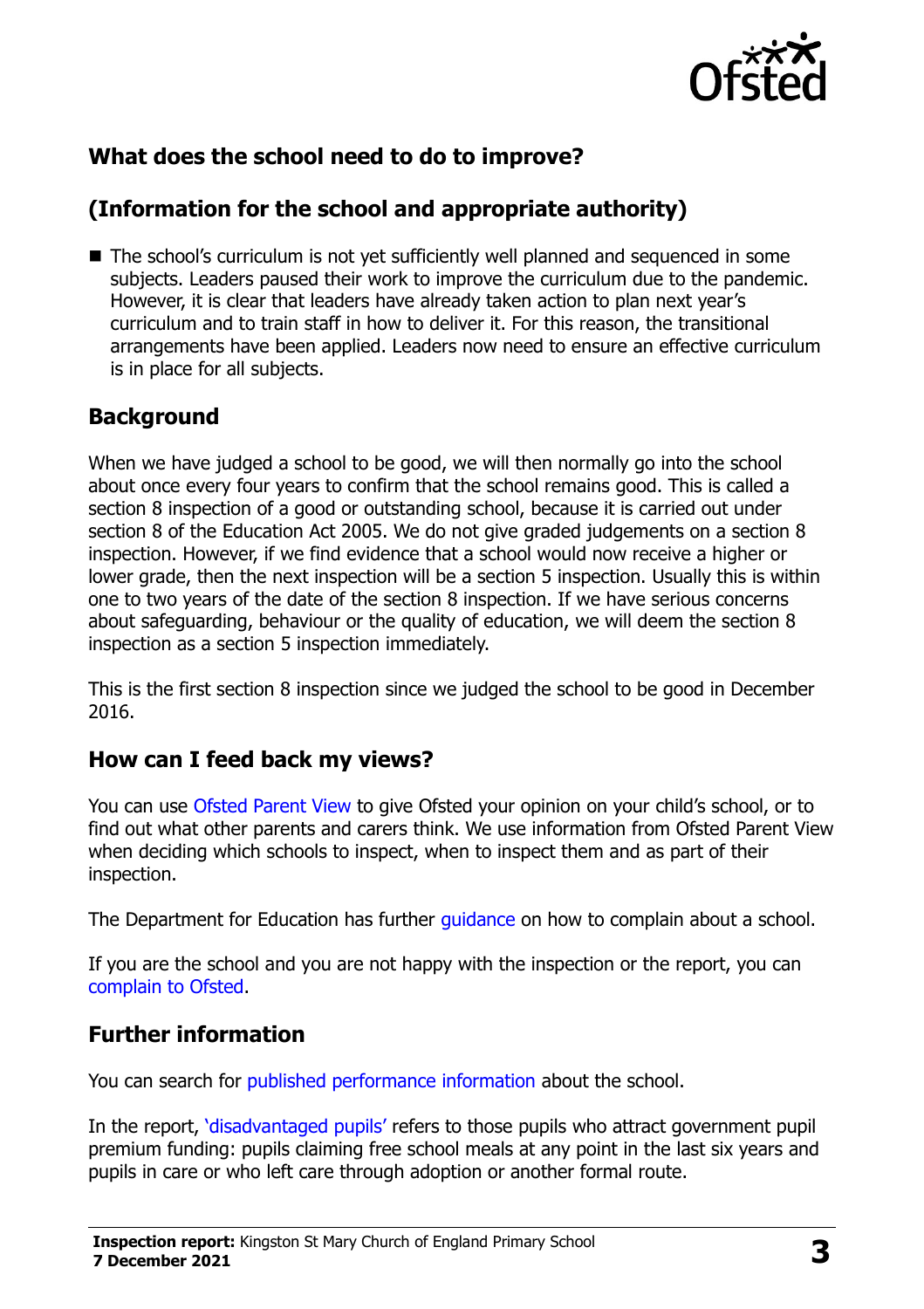

# **What does the school need to do to improve?**

# **(Information for the school and appropriate authority)**

■ The school's curriculum is not yet sufficiently well planned and sequenced in some subjects. Leaders paused their work to improve the curriculum due to the pandemic. However, it is clear that leaders have already taken action to plan next year's curriculum and to train staff in how to deliver it. For this reason, the transitional arrangements have been applied. Leaders now need to ensure an effective curriculum is in place for all subjects.

### **Background**

When we have judged a school to be good, we will then normally go into the school about once every four years to confirm that the school remains good. This is called a section 8 inspection of a good or outstanding school, because it is carried out under section 8 of the Education Act 2005. We do not give graded judgements on a section 8 inspection. However, if we find evidence that a school would now receive a higher or lower grade, then the next inspection will be a section 5 inspection. Usually this is within one to two years of the date of the section 8 inspection. If we have serious concerns about safeguarding, behaviour or the quality of education, we will deem the section 8 inspection as a section 5 inspection immediately.

This is the first section 8 inspection since we judged the school to be good in December 2016.

### **How can I feed back my views?**

You can use [Ofsted Parent View](https://parentview.ofsted.gov.uk/) to give Ofsted your opinion on your child's school, or to find out what other parents and carers think. We use information from Ofsted Parent View when deciding which schools to inspect, when to inspect them and as part of their inspection.

The Department for Education has further quidance on how to complain about a school.

If you are the school and you are not happy with the inspection or the report, you can [complain to Ofsted.](https://www.gov.uk/complain-ofsted-report)

# **Further information**

You can search for [published performance information](http://www.compare-school-performance.service.gov.uk/) about the school.

In the report, '[disadvantaged pupils](http://www.gov.uk/guidance/pupil-premium-information-for-schools-and-alternative-provision-settings)' refers to those pupils who attract government pupil premium funding: pupils claiming free school meals at any point in the last six years and pupils in care or who left care through adoption or another formal route.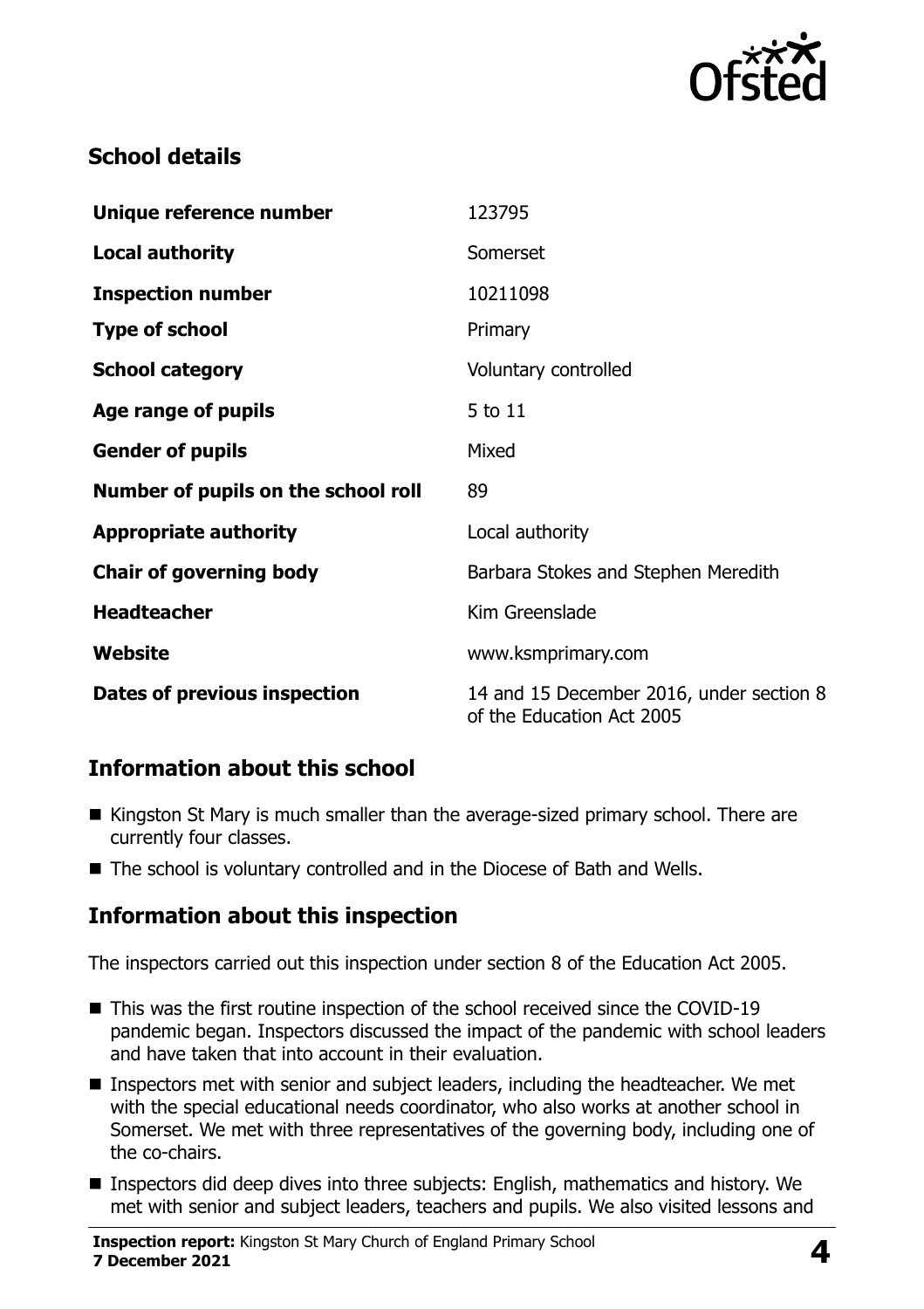

# **School details**

| Unique reference number             | 123795                                                                |
|-------------------------------------|-----------------------------------------------------------------------|
| <b>Local authority</b>              | Somerset                                                              |
| <b>Inspection number</b>            | 10211098                                                              |
| <b>Type of school</b>               | Primary                                                               |
| <b>School category</b>              | Voluntary controlled                                                  |
| Age range of pupils                 | 5 to 11                                                               |
| <b>Gender of pupils</b>             | Mixed                                                                 |
| Number of pupils on the school roll | 89                                                                    |
| <b>Appropriate authority</b>        | Local authority                                                       |
| <b>Chair of governing body</b>      | Barbara Stokes and Stephen Meredith                                   |
| <b>Headteacher</b>                  | Kim Greenslade                                                        |
| Website                             | www.ksmprimary.com                                                    |
| Dates of previous inspection        | 14 and 15 December 2016, under section 8<br>of the Education Act 2005 |

### **Information about this school**

- Kingston St Mary is much smaller than the average-sized primary school. There are currently four classes.
- The school is voluntary controlled and in the Diocese of Bath and Wells.

### **Information about this inspection**

The inspectors carried out this inspection under section 8 of the Education Act 2005.

- This was the first routine inspection of the school received since the COVID-19 pandemic began. Inspectors discussed the impact of the pandemic with school leaders and have taken that into account in their evaluation.
- **Inspectors met with senior and subject leaders, including the headteacher. We met** with the special educational needs coordinator, who also works at another school in Somerset. We met with three representatives of the governing body, including one of the co-chairs.
- Inspectors did deep dives into three subjects: English, mathematics and history. We met with senior and subject leaders, teachers and pupils. We also visited lessons and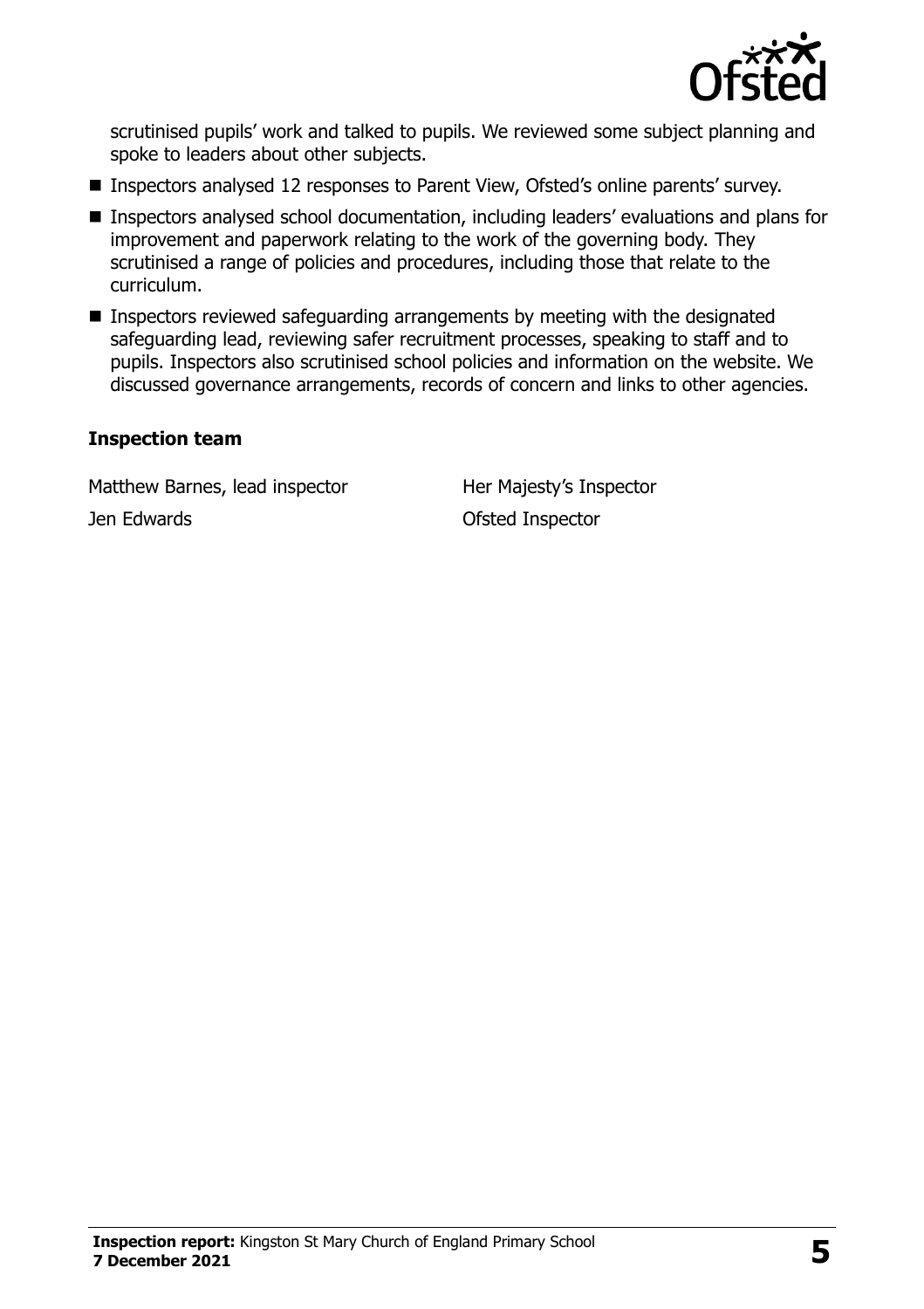

scrutinised pupils' work and talked to pupils. We reviewed some subject planning and spoke to leaders about other subjects.

- Inspectors analysed 12 responses to Parent View, Ofsted's online parents' survey.
- Inspectors analysed school documentation, including leaders' evaluations and plans for improvement and paperwork relating to the work of the governing body. They scrutinised a range of policies and procedures, including those that relate to the curriculum.
- Inspectors reviewed safeguarding arrangements by meeting with the designated safeguarding lead, reviewing safer recruitment processes, speaking to staff and to pupils. Inspectors also scrutinised school policies and information on the website. We discussed governance arrangements, records of concern and links to other agencies.

#### **Inspection team**

Matthew Barnes, lead inspector Her Majesty's Inspector Jen Edwards Ofsted Inspector